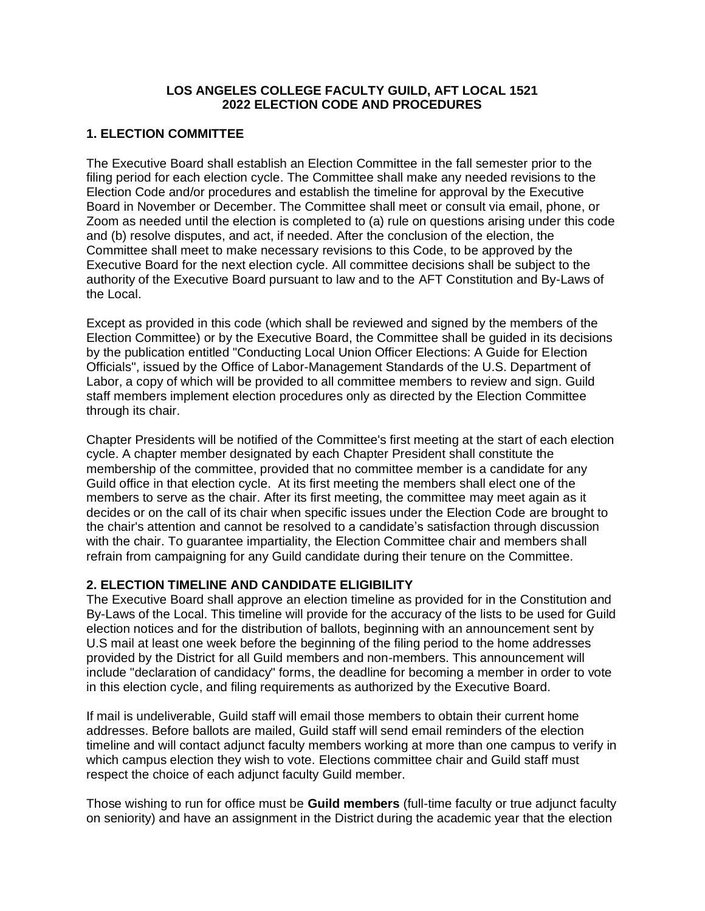#### **LOS ANGELES COLLEGE FACULTY GUILD, AFT LOCAL 1521 2022 ELECTION CODE AND PROCEDURES**

## **1. ELECTION COMMITTEE**

The Executive Board shall establish an Election Committee in the fall semester prior to the filing period for each election cycle. The Committee shall make any needed revisions to the Election Code and/or procedures and establish the timeline for approval by the Executive Board in November or December. The Committee shall meet or consult via email, phone, or Zoom as needed until the election is completed to (a) rule on questions arising under this code and (b) resolve disputes, and act, if needed. After the conclusion of the election, the Committee shall meet to make necessary revisions to this Code, to be approved by the Executive Board for the next election cycle. All committee decisions shall be subject to the authority of the Executive Board pursuant to law and to the AFT Constitution and By-Laws of the Local.

Except as provided in this code (which shall be reviewed and signed by the members of the Election Committee) or by the Executive Board, the Committee shall be guided in its decisions by the publication entitled "Conducting Local Union Officer Elections: A Guide for Election Officials", issued by the Office of Labor-Management Standards of the U.S. Department of Labor, a copy of which will be provided to all committee members to review and sign. Guild staff members implement election procedures only as directed by the Election Committee through its chair.

Chapter Presidents will be notified of the Committee's first meeting at the start of each election cycle. A chapter member designated by each Chapter President shall constitute the membership of the committee, provided that no committee member is a candidate for any Guild office in that election cycle. At its first meeting the members shall elect one of the members to serve as the chair. After its first meeting, the committee may meet again as it decides or on the call of its chair when specific issues under the Election Code are brought to the chair's attention and cannot be resolved to a candidate's satisfaction through discussion with the chair. To guarantee impartiality, the Election Committee chair and members shall refrain from campaigning for any Guild candidate during their tenure on the Committee.

## **2. ELECTION TIMELINE AND CANDIDATE ELIGIBILITY**

The Executive Board shall approve an election timeline as provided for in the Constitution and By-Laws of the Local. This timeline will provide for the accuracy of the lists to be used for Guild election notices and for the distribution of ballots, beginning with an announcement sent by U.S mail at least one week before the beginning of the filing period to the home addresses provided by the District for all Guild members and non-members. This announcement will include "declaration of candidacy" forms, the deadline for becoming a member in order to vote in this election cycle, and filing requirements as authorized by the Executive Board.

If mail is undeliverable, Guild staff will email those members to obtain their current home addresses. Before ballots are mailed, Guild staff will send email reminders of the election timeline and will contact adjunct faculty members working at more than one campus to verify in which campus election they wish to vote. Elections committee chair and Guild staff must respect the choice of each adjunct faculty Guild member.

Those wishing to run for office must be **Guild members** (full-time faculty or true adjunct faculty on seniority) and have an assignment in the District during the academic year that the election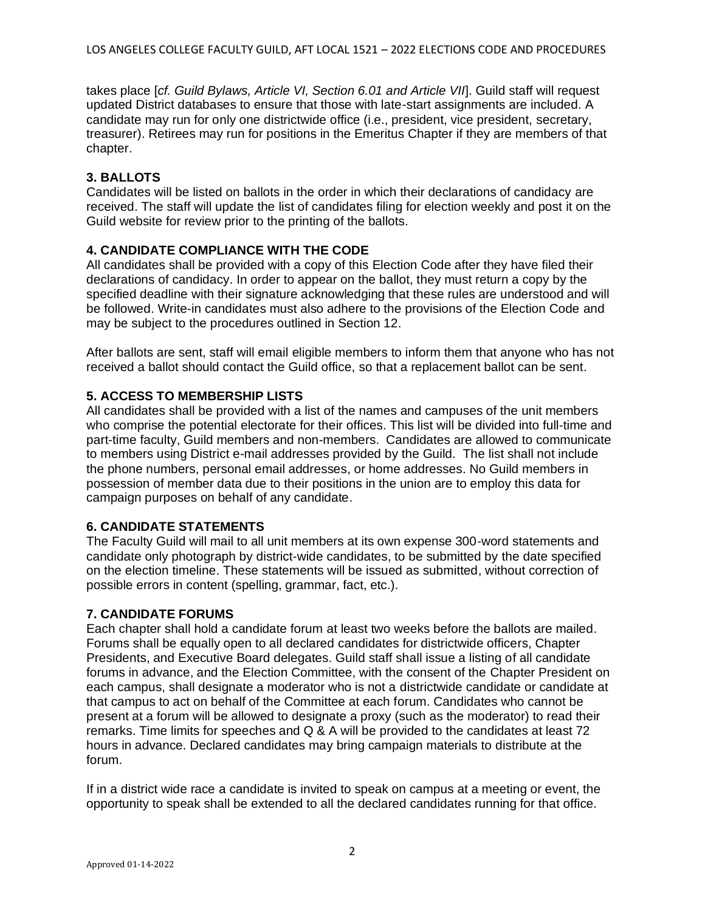takes place [*cf. Guild Bylaws, Article VI, Section 6.01 and Article VII*]. Guild staff will request updated District databases to ensure that those with late-start assignments are included. A candidate may run for only one districtwide office (i.e., president, vice president, secretary, treasurer). Retirees may run for positions in the Emeritus Chapter if they are members of that chapter.

## **3. BALLOTS**

Candidates will be listed on ballots in the order in which their declarations of candidacy are received. The staff will update the list of candidates filing for election weekly and post it on the Guild website for review prior to the printing of the ballots.

## **4. CANDIDATE COMPLIANCE WITH THE CODE**

All candidates shall be provided with a copy of this Election Code after they have filed their declarations of candidacy. In order to appear on the ballot, they must return a copy by the specified deadline with their signature acknowledging that these rules are understood and will be followed. Write-in candidates must also adhere to the provisions of the Election Code and may be subject to the procedures outlined in Section 12.

After ballots are sent, staff will email eligible members to inform them that anyone who has not received a ballot should contact the Guild office, so that a replacement ballot can be sent.

# **5. ACCESS TO MEMBERSHIP LISTS**

All candidates shall be provided with a list of the names and campuses of the unit members who comprise the potential electorate for their offices. This list will be divided into full-time and part-time faculty, Guild members and non-members. Candidates are allowed to communicate to members using District e-mail addresses provided by the Guild. The list shall not include the phone numbers, personal email addresses, or home addresses. No Guild members in possession of member data due to their positions in the union are to employ this data for campaign purposes on behalf of any candidate.

## **6. CANDIDATE STATEMENTS**

The Faculty Guild will mail to all unit members at its own expense 300-word statements and candidate only photograph by district-wide candidates, to be submitted by the date specified on the election timeline. These statements will be issued as submitted, without correction of possible errors in content (spelling, grammar, fact, etc.).

## **7. CANDIDATE FORUMS**

Each chapter shall hold a candidate forum at least two weeks before the ballots are mailed. Forums shall be equally open to all declared candidates for districtwide officers, Chapter Presidents, and Executive Board delegates. Guild staff shall issue a listing of all candidate forums in advance, and the Election Committee, with the consent of the Chapter President on each campus, shall designate a moderator who is not a districtwide candidate or candidate at that campus to act on behalf of the Committee at each forum. Candidates who cannot be present at a forum will be allowed to designate a proxy (such as the moderator) to read their remarks. Time limits for speeches and Q & A will be provided to the candidates at least 72 hours in advance. Declared candidates may bring campaign materials to distribute at the forum.

If in a district wide race a candidate is invited to speak on campus at a meeting or event, the opportunity to speak shall be extended to all the declared candidates running for that office.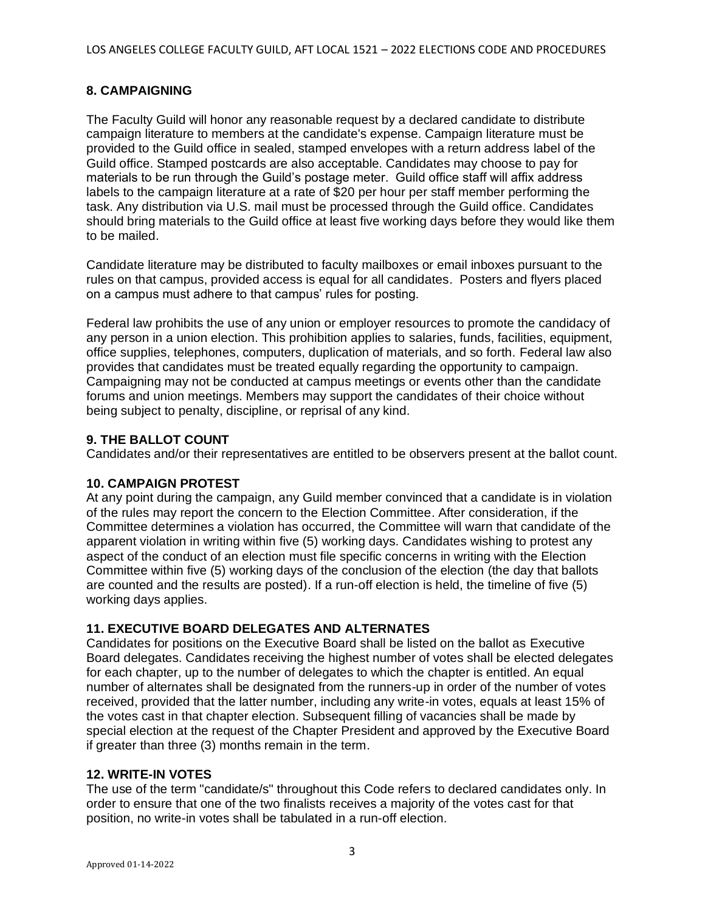## **8. CAMPAIGNING**

The Faculty Guild will honor any reasonable request by a declared candidate to distribute campaign literature to members at the candidate's expense. Campaign literature must be provided to the Guild office in sealed, stamped envelopes with a return address label of the Guild office. Stamped postcards are also acceptable. Candidates may choose to pay for materials to be run through the Guild's postage meter. Guild office staff will affix address labels to the campaign literature at a rate of \$20 per hour per staff member performing the task. Any distribution via U.S. mail must be processed through the Guild office. Candidates should bring materials to the Guild office at least five working days before they would like them to be mailed.

Candidate literature may be distributed to faculty mailboxes or email inboxes pursuant to the rules on that campus, provided access is equal for all candidates. Posters and flyers placed on a campus must adhere to that campus' rules for posting.

Federal law prohibits the use of any union or employer resources to promote the candidacy of any person in a union election. This prohibition applies to salaries, funds, facilities, equipment, office supplies, telephones, computers, duplication of materials, and so forth. Federal law also provides that candidates must be treated equally regarding the opportunity to campaign. Campaigning may not be conducted at campus meetings or events other than the candidate forums and union meetings. Members may support the candidates of their choice without being subject to penalty, discipline, or reprisal of any kind.

## **9. THE BALLOT COUNT**

Candidates and/or their representatives are entitled to be observers present at the ballot count.

## **10. CAMPAIGN PROTEST**

At any point during the campaign, any Guild member convinced that a candidate is in violation of the rules may report the concern to the Election Committee. After consideration, if the Committee determines a violation has occurred, the Committee will warn that candidate of the apparent violation in writing within five (5) working days. Candidates wishing to protest any aspect of the conduct of an election must file specific concerns in writing with the Election Committee within five (5) working days of the conclusion of the election (the day that ballots are counted and the results are posted). If a run-off election is held, the timeline of five (5) working days applies.

## **11. EXECUTIVE BOARD DELEGATES AND ALTERNATES**

Candidates for positions on the Executive Board shall be listed on the ballot as Executive Board delegates. Candidates receiving the highest number of votes shall be elected delegates for each chapter, up to the number of delegates to which the chapter is entitled. An equal number of alternates shall be designated from the runners-up in order of the number of votes received, provided that the latter number, including any write-in votes, equals at least 15% of the votes cast in that chapter election. Subsequent filling of vacancies shall be made by special election at the request of the Chapter President and approved by the Executive Board if greater than three (3) months remain in the term.

#### **12. WRITE-IN VOTES**

The use of the term "candidate/s" throughout this Code refers to declared candidates only. In order to ensure that one of the two finalists receives a majority of the votes cast for that position, no write-in votes shall be tabulated in a run-off election.